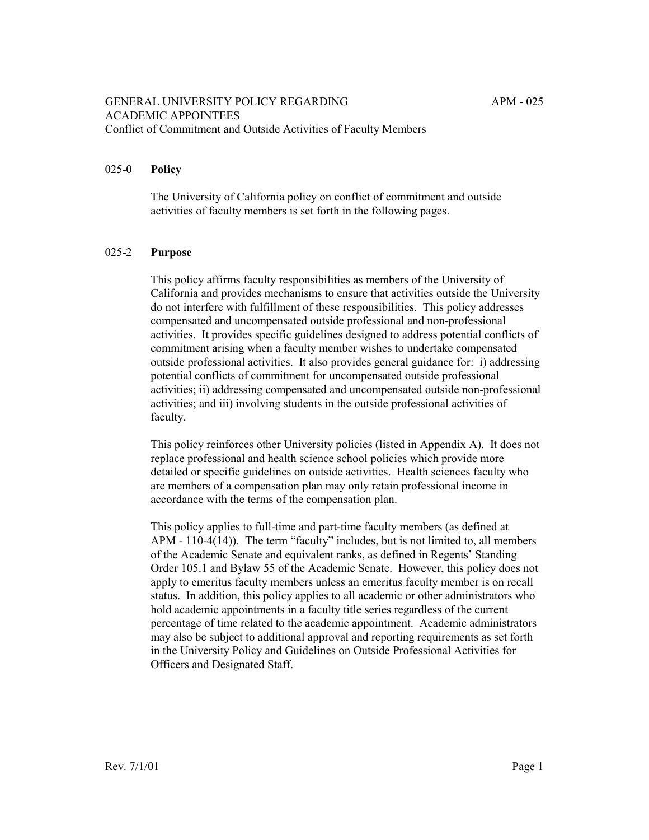#### 025-0 **Policy**

The University of California policy on conflict of commitment and outside activities of faculty members is set forth in the following pages.

### 025-2 **Purpose**

This policy affirms faculty responsibilities as members of the University of California and provides mechanisms to ensure that activities outside the University do not interfere with fulfillment of these responsibilities. This policy addresses compensated and uncompensated outside professional and non-professional activities. It provides specific guidelines designed to address potential conflicts of commitment arising when a faculty member wishes to undertake compensated outside professional activities. It also provides general guidance for: i) addressing potential conflicts of commitment for uncompensated outside professional activities; ii) addressing compensated and uncompensated outside non-professional activities; and iii) involving students in the outside professional activities of faculty.

This policy reinforces other University policies (listed in Appendix A). It does not replace professional and health science school policies which provide more detailed or specific guidelines on outside activities. Health sciences faculty who are members of a compensation plan may only retain professional income in accordance with the terms of the compensation plan.

This policy applies to full-time and part-time faculty members (as defined at  $APM - 110-4(14)$ . The term "faculty" includes, but is not limited to, all members of the Academic Senate and equivalent ranks, as defined in Regents' Standing Order 105.1 and Bylaw 55 of the Academic Senate. However, this policy does not apply to emeritus faculty members unless an emeritus faculty member is on recall status. In addition, this policy applies to all academic or other administrators who hold academic appointments in a faculty title series regardless of the current percentage of time related to the academic appointment. Academic administrators may also be subject to additional approval and reporting requirements as set forth in the University Policy and Guidelines on Outside Professional Activities for Officers and Designated Staff.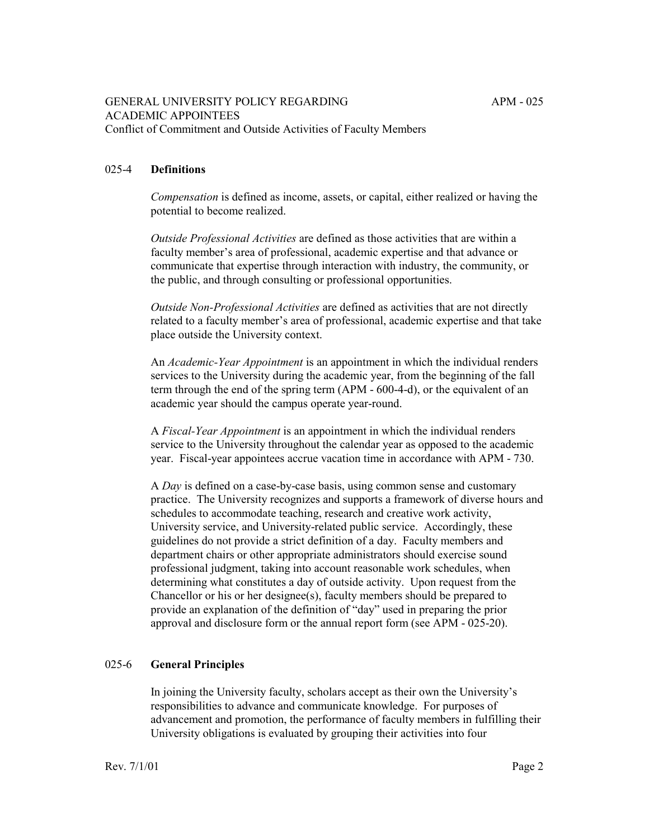# 025-4 **Definitions**

*Compensation* is defined as income, assets, or capital, either realized or having the potential to become realized.

*Outside Professional Activities* are defined as those activities that are within a faculty member's area of professional, academic expertise and that advance or communicate that expertise through interaction with industry, the community, or the public, and through consulting or professional opportunities.

*Outside Non-Professional Activities* are defined as activities that are not directly related to a faculty member's area of professional, academic expertise and that take place outside the University context.

An *Academic-Year Appointment* is an appointment in which the individual renders services to the University during the academic year, from the beginning of the fall term through the end of the spring term (APM - 600-4-d), or the equivalent of an academic year should the campus operate year-round.

A *Fiscal-Year Appointment* is an appointment in which the individual renders service to the University throughout the calendar year as opposed to the academic year. Fiscal-year appointees accrue vacation time in accordance with APM - 730.

A *Day* is defined on a case-by-case basis, using common sense and customary practice. The University recognizes and supports a framework of diverse hours and schedules to accommodate teaching, research and creative work activity, University service, and University-related public service. Accordingly, these guidelines do not provide a strict definition of a day. Faculty members and department chairs or other appropriate administrators should exercise sound professional judgment, taking into account reasonable work schedules, when determining what constitutes a day of outside activity. Upon request from the Chancellor or his or her designee(s), faculty members should be prepared to provide an explanation of the definition of "day" used in preparing the prior approval and disclosure form or the annual report form (see APM - 025-20).

## 025-6 **General Principles**

In joining the University faculty, scholars accept as their own the University's responsibilities to advance and communicate knowledge. For purposes of advancement and promotion, the performance of faculty members in fulfilling their University obligations is evaluated by grouping their activities into four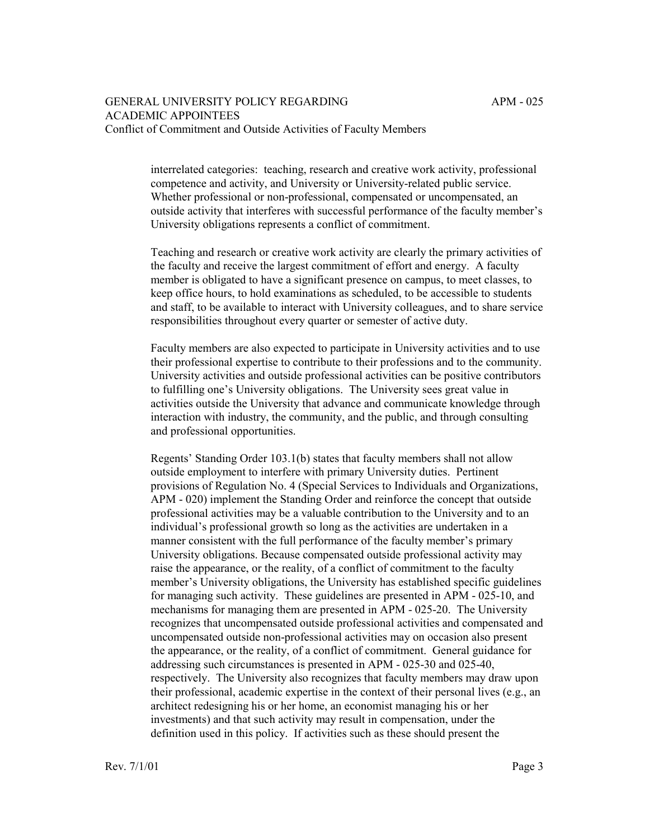interrelated categories: teaching, research and creative work activity, professional competence and activity, and University or University-related public service. Whether professional or non-professional, compensated or uncompensated, an outside activity that interferes with successful performance of the faculty member's University obligations represents a conflict of commitment.

Teaching and research or creative work activity are clearly the primary activities of the faculty and receive the largest commitment of effort and energy. A faculty member is obligated to have a significant presence on campus, to meet classes, to keep office hours, to hold examinations as scheduled, to be accessible to students and staff, to be available to interact with University colleagues, and to share service responsibilities throughout every quarter or semester of active duty.

Faculty members are also expected to participate in University activities and to use their professional expertise to contribute to their professions and to the community. University activities and outside professional activities can be positive contributors to fulfilling one's University obligations. The University sees great value in activities outside the University that advance and communicate knowledge through interaction with industry, the community, and the public, and through consulting and professional opportunities.

Regents' Standing Order 103.1(b) states that faculty members shall not allow outside employment to interfere with primary University duties. Pertinent provisions of Regulation No. 4 (Special Services to Individuals and Organizations, APM - 020) implement the Standing Order and reinforce the concept that outside professional activities may be a valuable contribution to the University and to an individual's professional growth so long as the activities are undertaken in a manner consistent with the full performance of the faculty member's primary University obligations. Because compensated outside professional activity may raise the appearance, or the reality, of a conflict of commitment to the faculty member's University obligations, the University has established specific guidelines for managing such activity. These guidelines are presented in APM - 025-10, and mechanisms for managing them are presented in APM - 025-20. The University recognizes that uncompensated outside professional activities and compensated and uncompensated outside non-professional activities may on occasion also present the appearance, or the reality, of a conflict of commitment. General guidance for addressing such circumstances is presented in APM - 025-30 and 025-40, respectively. The University also recognizes that faculty members may draw upon their professional, academic expertise in the context of their personal lives (e.g., an architect redesigning his or her home, an economist managing his or her investments) and that such activity may result in compensation, under the definition used in this policy. If activities such as these should present the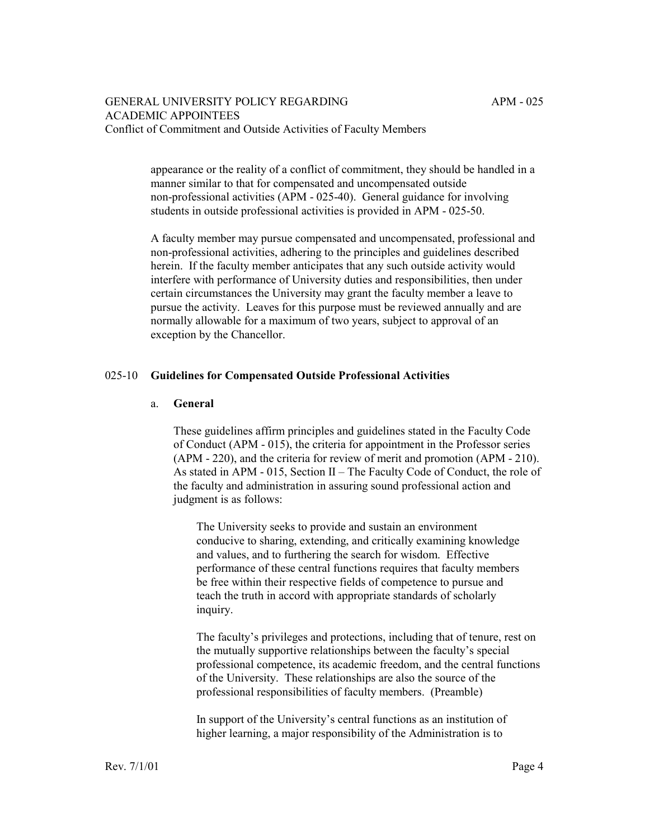appearance or the reality of a conflict of commitment, they should be handled in a manner similar to that for compensated and uncompensated outside non-professional activities (APM - 025-40). General guidance for involving students in outside professional activities is provided in APM - 025-50.

A faculty member may pursue compensated and uncompensated, professional and non-professional activities, adhering to the principles and guidelines described herein. If the faculty member anticipates that any such outside activity would interfere with performance of University duties and responsibilities, then under certain circumstances the University may grant the faculty member a leave to pursue the activity. Leaves for this purpose must be reviewed annually and are normally allowable for a maximum of two years, subject to approval of an exception by the Chancellor.

### 025-10 **Guidelines for Compensated Outside Professional Activities**

#### a. **General**

These guidelines affirm principles and guidelines stated in the Faculty Code of Conduct (APM - 015), the criteria for appointment in the Professor series (APM - 220), and the criteria for review of merit and promotion (APM - 210). As stated in APM - 015, Section II – The Faculty Code of Conduct, the role of the faculty and administration in assuring sound professional action and judgment is as follows:

The University seeks to provide and sustain an environment conducive to sharing, extending, and critically examining knowledge and values, and to furthering the search for wisdom. Effective performance of these central functions requires that faculty members be free within their respective fields of competence to pursue and teach the truth in accord with appropriate standards of scholarly inquiry.

The faculty's privileges and protections, including that of tenure, rest on the mutually supportive relationships between the faculty's special professional competence, its academic freedom, and the central functions of the University. These relationships are also the source of the professional responsibilities of faculty members. (Preamble)

In support of the University's central functions as an institution of higher learning, a major responsibility of the Administration is to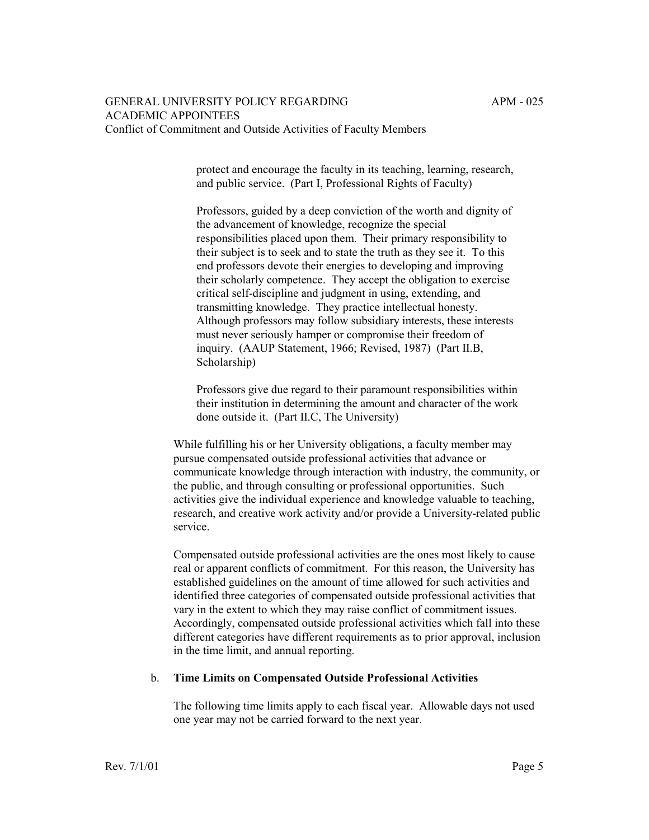protect and encourage the faculty in its teaching, learning, research, and public service. (Part I, Professional Rights of Faculty)

Professors, guided by a deep conviction of the worth and dignity of the advancement of knowledge, recognize the special responsibilities placed upon them. Their primary responsibility to their subject is to seek and to state the truth as they see it. To this end professors devote their energies to developing and improving their scholarly competence. They accept the obligation to exercise critical self-discipline and judgment in using, extending, and transmitting knowledge. They practice intellectual honesty. Although professors may follow subsidiary interests, these interests must never seriously hamper or compromise their freedom of inquiry. (AAUP Statement, 1966; Revised, 1987) (Part II.B, Scholarship)

Professors give due regard to their paramount responsibilities within their institution in determining the amount and character of the work done outside it. (Part II.C, The University)

While fulfilling his or her University obligations, a faculty member may pursue compensated outside professional activities that advance or communicate knowledge through interaction with industry, the community, or the public, and through consulting or professional opportunities. Such activities give the individual experience and knowledge valuable to teaching, research, and creative work activity and/or provide a University-related public service.

Compensated outside professional activities are the ones most likely to cause real or apparent conflicts of commitment. For this reason, the University has established guidelines on the amount of time allowed for such activities and identified three categories of compensated outside professional activities that vary in the extent to which they may raise conflict of commitment issues. Accordingly, compensated outside professional activities which fall into these different categories have different requirements as to prior approval, inclusion in the time limit, and annual reporting.

#### b. **Time Limits on Compensated Outside Professional Activities**

The following time limits apply to each fiscal year. Allowable days not used one year may not be carried forward to the next year.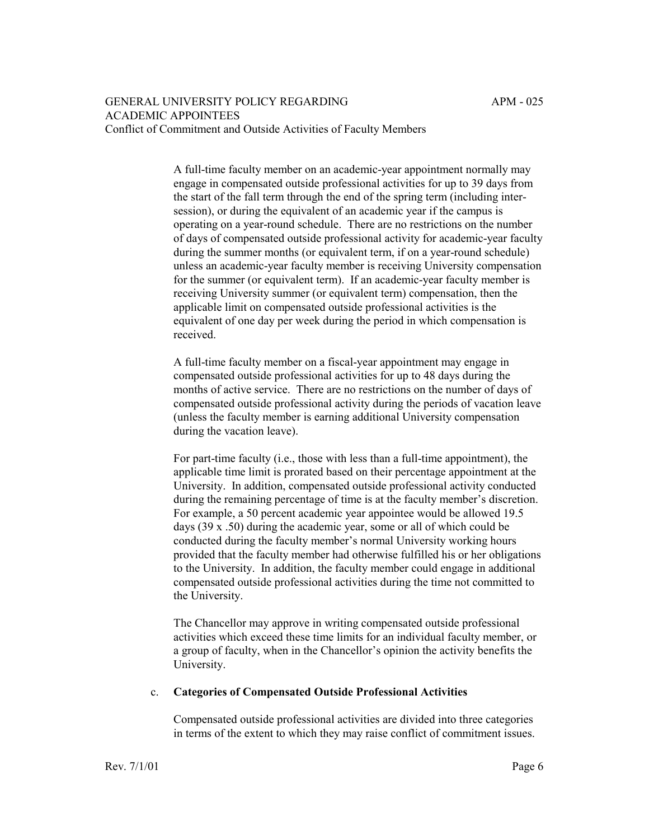A full-time faculty member on an academic-year appointment normally may engage in compensated outside professional activities for up to 39 days from the start of the fall term through the end of the spring term (including intersession), or during the equivalent of an academic year if the campus is operating on a year-round schedule. There are no restrictions on the number of days of compensated outside professional activity for academic-year faculty during the summer months (or equivalent term, if on a year-round schedule) unless an academic-year faculty member is receiving University compensation for the summer (or equivalent term). If an academic-year faculty member is receiving University summer (or equivalent term) compensation, then the applicable limit on compensated outside professional activities is the equivalent of one day per week during the period in which compensation is received.

A full-time faculty member on a fiscal-year appointment may engage in compensated outside professional activities for up to 48 days during the months of active service. There are no restrictions on the number of days of compensated outside professional activity during the periods of vacation leave (unless the faculty member is earning additional University compensation during the vacation leave).

For part-time faculty (i.e., those with less than a full-time appointment), the applicable time limit is prorated based on their percentage appointment at the University. In addition, compensated outside professional activity conducted during the remaining percentage of time is at the faculty member's discretion. For example, a 50 percent academic year appointee would be allowed 19.5 days (39 x .50) during the academic year, some or all of which could be conducted during the faculty member's normal University working hours provided that the faculty member had otherwise fulfilled his or her obligations to the University. In addition, the faculty member could engage in additional compensated outside professional activities during the time not committed to the University.

The Chancellor may approve in writing compensated outside professional activities which exceed these time limits for an individual faculty member, or a group of faculty, when in the Chancellor's opinion the activity benefits the University.

## c. **Categories of Compensated Outside Professional Activities**

Compensated outside professional activities are divided into three categories in terms of the extent to which they may raise conflict of commitment issues.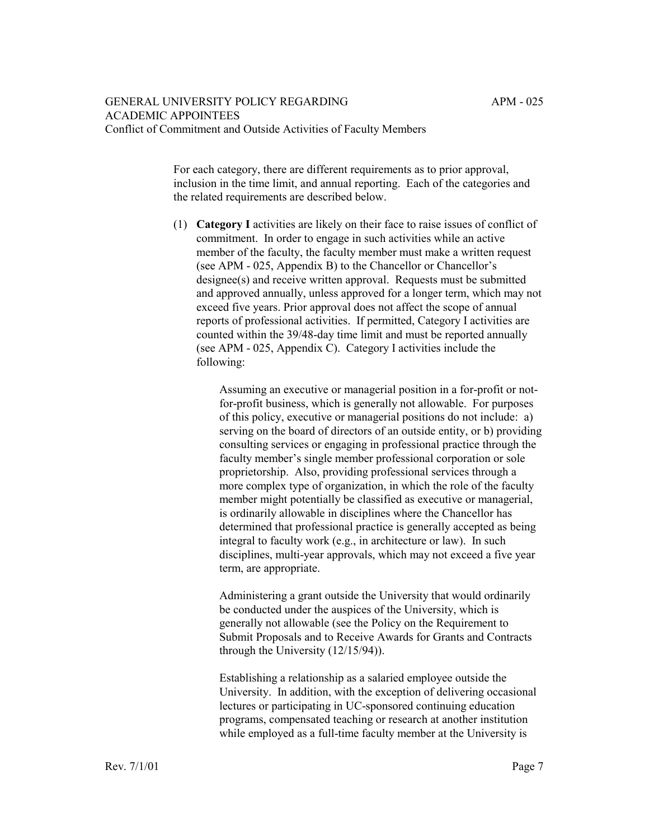For each category, there are different requirements as to prior approval, inclusion in the time limit, and annual reporting. Each of the categories and the related requirements are described below.

(1) **Category I** activities are likely on their face to raise issues of conflict of commitment. In order to engage in such activities while an active member of the faculty, the faculty member must make a written request (see APM  $-025$ , Appendix B) to the Chancellor or Chancellor's designee(s) and receive written approval. Requests must be submitted and approved annually, unless approved for a longer term, which may not exceed five years. Prior approval does not affect the scope of annual reports of professional activities. If permitted, Category I activities are counted within the 39/48-day time limit and must be reported annually (see APM - 025, Appendix C). Category I activities include the following:

> Assuming an executive or managerial position in a for-profit or notfor-profit business, which is generally not allowable. For purposes of this policy, executive or managerial positions do not include: a) serving on the board of directors of an outside entity, or b) providing consulting services or engaging in professional practice through the faculty member's single member professional corporation or sole proprietorship. Also, providing professional services through a more complex type of organization, in which the role of the faculty member might potentially be classified as executive or managerial, is ordinarily allowable in disciplines where the Chancellor has determined that professional practice is generally accepted as being integral to faculty work (e.g., in architecture or law). In such disciplines, multi-year approvals, which may not exceed a five year term, are appropriate.

Administering a grant outside the University that would ordinarily be conducted under the auspices of the University, which is generally not allowable (see the Policy on the Requirement to Submit Proposals and to Receive Awards for Grants and Contracts through the University (12/15/94)).

Establishing a relationship as a salaried employee outside the University. In addition, with the exception of delivering occasional lectures or participating in UC-sponsored continuing education programs, compensated teaching or research at another institution while employed as a full-time faculty member at the University is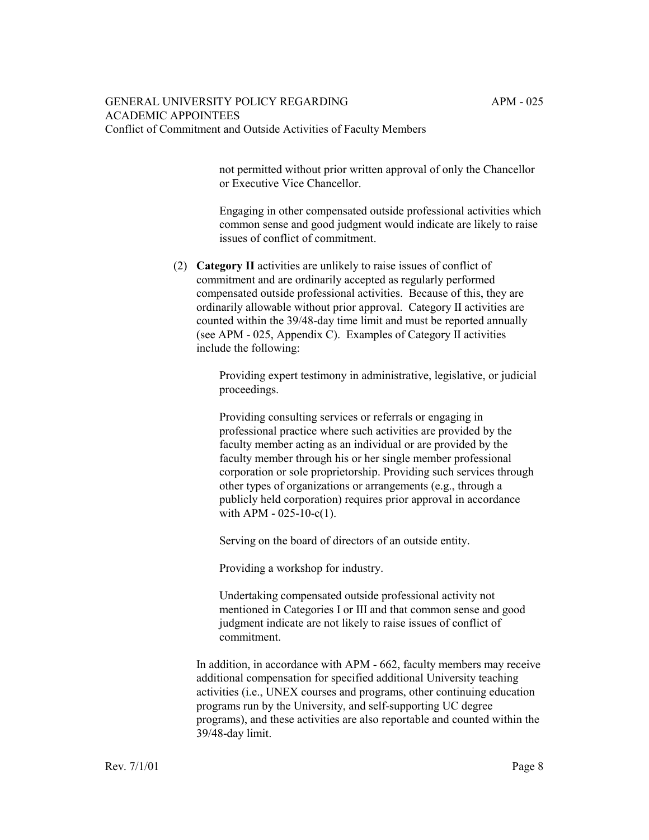not permitted without prior written approval of only the Chancellor or Executive Vice Chancellor.

Engaging in other compensated outside professional activities which common sense and good judgment would indicate are likely to raise issues of conflict of commitment.

(2) **Category II** activities are unlikely to raise issues of conflict of commitment and are ordinarily accepted as regularly performed compensated outside professional activities. Because of this, they are ordinarily allowable without prior approval. Category II activities are counted within the 39/48-day time limit and must be reported annually (see APM - 025, Appendix C). Examples of Category II activities include the following:

> Providing expert testimony in administrative, legislative, or judicial proceedings.

> Providing consulting services or referrals or engaging in professional practice where such activities are provided by the faculty member acting as an individual or are provided by the faculty member through his or her single member professional corporation or sole proprietorship. Providing such services through other types of organizations or arrangements (e.g., through a publicly held corporation) requires prior approval in accordance with APM - 025-10-c(1).

Serving on the board of directors of an outside entity.

Providing a workshop for industry.

Undertaking compensated outside professional activity not mentioned in Categories I or III and that common sense and good judgment indicate are not likely to raise issues of conflict of commitment.

In addition, in accordance with APM - 662, faculty members may receive additional compensation for specified additional University teaching activities (i.e., UNEX courses and programs, other continuing education programs run by the University, and self-supporting UC degree programs), and these activities are also reportable and counted within the 39/48-day limit.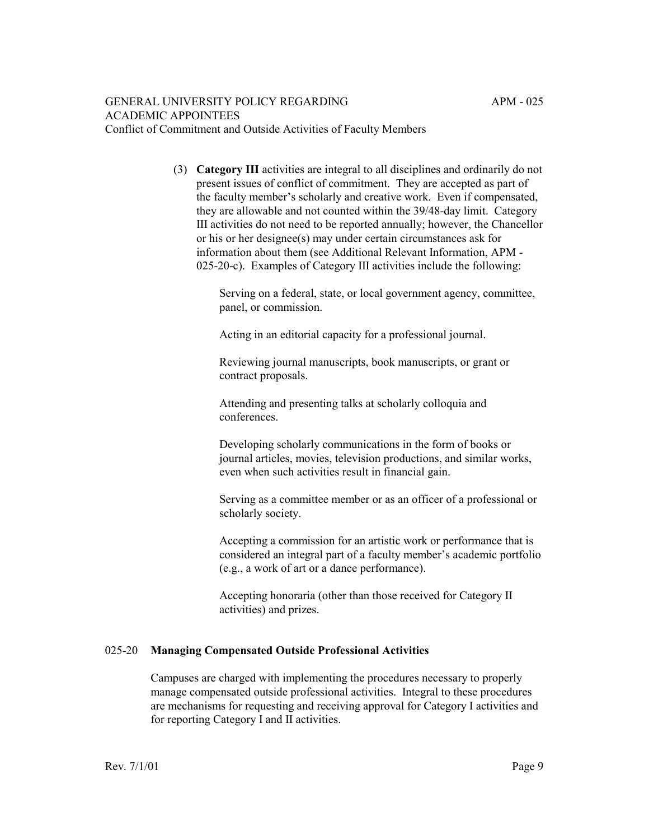(3) **Category III** activities are integral to all disciplines and ordinarily do not present issues of conflict of commitment. They are accepted as part of the faculty member's scholarly and creative work. Even if compensated, they are allowable and not counted within the 39/48-day limit. Category III activities do not need to be reported annually; however, the Chancellor or his or her designee(s) may under certain circumstances ask for information about them (see Additional Relevant Information, APM - 025-20-c). Examples of Category III activities include the following:

> Serving on a federal, state, or local government agency, committee, panel, or commission.

Acting in an editorial capacity for a professional journal.

Reviewing journal manuscripts, book manuscripts, or grant or contract proposals.

Attending and presenting talks at scholarly colloquia and conferences.

Developing scholarly communications in the form of books or journal articles, movies, television productions, and similar works, even when such activities result in financial gain.

Serving as a committee member or as an officer of a professional or scholarly society.

Accepting a commission for an artistic work or performance that is considered an integral part of a faculty member's academic portfolio (e.g., a work of art or a dance performance).

Accepting honoraria (other than those received for Category II activities) and prizes.

## 025-20 **Managing Compensated Outside Professional Activities**

Campuses are charged with implementing the procedures necessary to properly manage compensated outside professional activities. Integral to these procedures are mechanisms for requesting and receiving approval for Category I activities and for reporting Category I and II activities.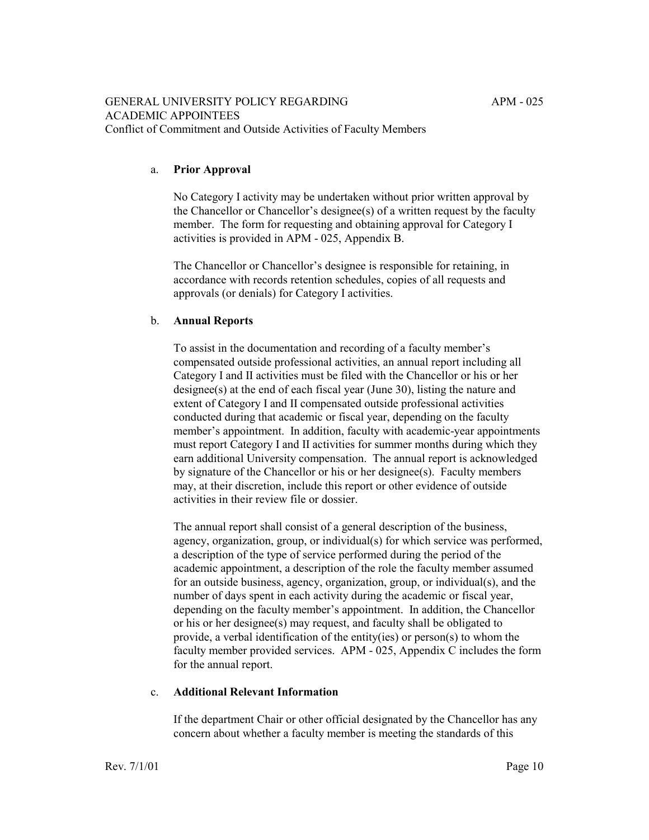## a. **Prior Approval**

No Category I activity may be undertaken without prior written approval by the Chancellor or Chancellor's designee(s) of a written request by the faculty member. The form for requesting and obtaining approval for Category I activities is provided in APM - 025, Appendix B.

The Chancellor or Chancellor's designee is responsible for retaining, in accordance with records retention schedules, copies of all requests and approvals (or denials) for Category I activities.

# b. **Annual Reports**

To assist in the documentation and recording of a faculty member's compensated outside professional activities, an annual report including all Category I and II activities must be filed with the Chancellor or his or her designee(s) at the end of each fiscal year (June 30), listing the nature and extent of Category I and II compensated outside professional activities conducted during that academic or fiscal year, depending on the faculty member's appointment. In addition, faculty with academic-year appointments must report Category I and II activities for summer months during which they earn additional University compensation. The annual report is acknowledged by signature of the Chancellor or his or her designee(s). Faculty members may, at their discretion, include this report or other evidence of outside activities in their review file or dossier.

The annual report shall consist of a general description of the business, agency, organization, group, or individual(s) for which service was performed, a description of the type of service performed during the period of the academic appointment, a description of the role the faculty member assumed for an outside business, agency, organization, group, or individual(s), and the number of days spent in each activity during the academic or fiscal year, depending on the faculty member's appointment. In addition, the Chancellor or his or her designee(s) may request, and faculty shall be obligated to provide, a verbal identification of the entity(ies) or person(s) to whom the faculty member provided services. APM - 025, Appendix C includes the form for the annual report.

## c. **Additional Relevant Information**

If the department Chair or other official designated by the Chancellor has any concern about whether a faculty member is meeting the standards of this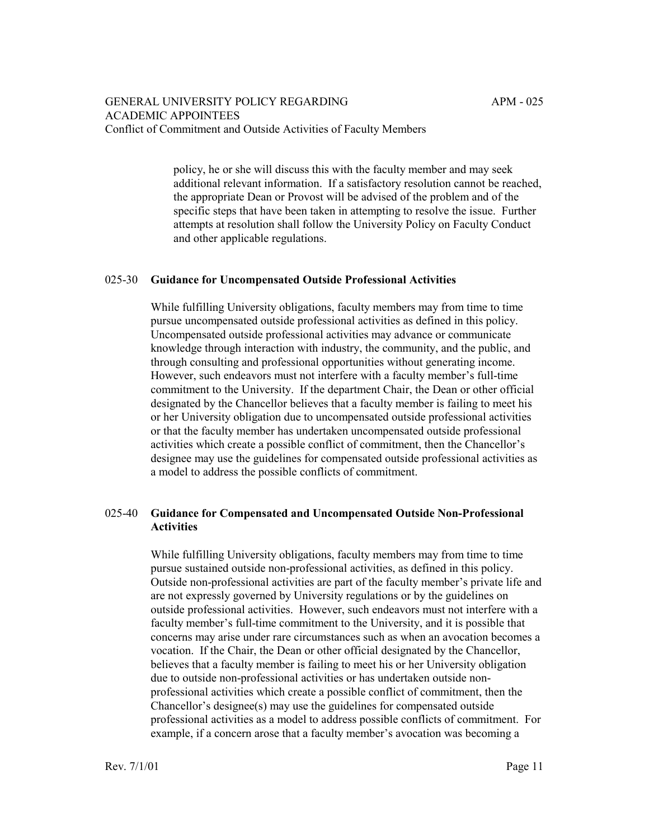policy, he or she will discuss this with the faculty member and may seek additional relevant information. If a satisfactory resolution cannot be reached, the appropriate Dean or Provost will be advised of the problem and of the specific steps that have been taken in attempting to resolve the issue. Further attempts at resolution shall follow the University Policy on Faculty Conduct and other applicable regulations.

### 025-30 **Guidance for Uncompensated Outside Professional Activities**

While fulfilling University obligations, faculty members may from time to time pursue uncompensated outside professional activities as defined in this policy. Uncompensated outside professional activities may advance or communicate knowledge through interaction with industry, the community, and the public, and through consulting and professional opportunities without generating income. However, such endeavors must not interfere with a faculty member's full-time commitment to the University. If the department Chair, the Dean or other official designated by the Chancellor believes that a faculty member is failing to meet his or her University obligation due to uncompensated outside professional activities or that the faculty member has undertaken uncompensated outside professional activities which create a possible conflict of commitment, then the Chancellor's designee may use the guidelines for compensated outside professional activities as a model to address the possible conflicts of commitment.

## 025-40 **Guidance for Compensated and Uncompensated Outside Non-Professional Activities**

While fulfilling University obligations, faculty members may from time to time pursue sustained outside non-professional activities, as defined in this policy. Outside non-professional activities are part of the faculty member's private life and are not expressly governed by University regulations or by the guidelines on outside professional activities. However, such endeavors must not interfere with a faculty member's full-time commitment to the University, and it is possible that concerns may arise under rare circumstances such as when an avocation becomes a vocation. If the Chair, the Dean or other official designated by the Chancellor, believes that a faculty member is failing to meet his or her University obligation due to outside non-professional activities or has undertaken outside nonprofessional activities which create a possible conflict of commitment, then the Chancellor's designee(s) may use the guidelines for compensated outside professional activities as a model to address possible conflicts of commitment. For example, if a concern arose that a faculty member's avocation was becoming a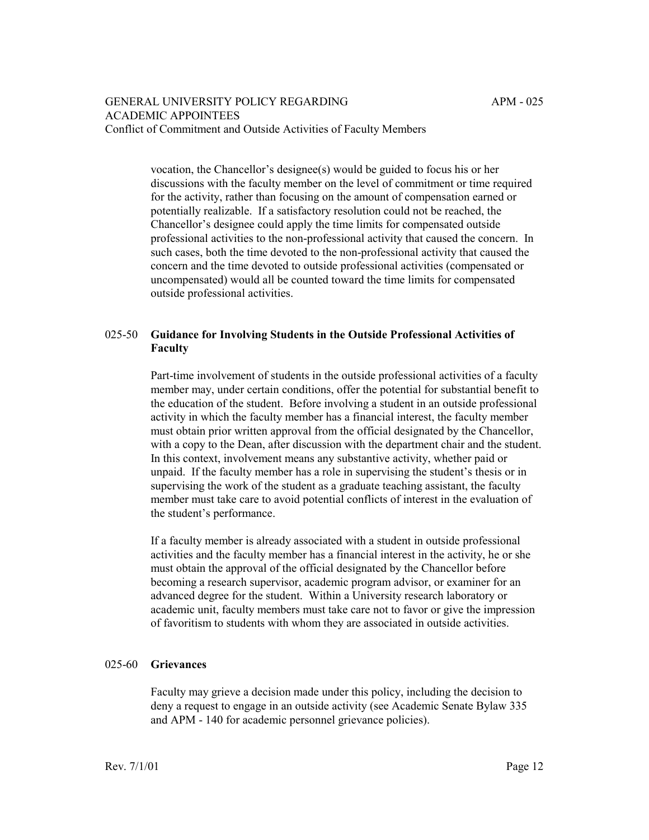vocation, the Chancellor's designee(s) would be guided to focus his or her discussions with the faculty member on the level of commitment or time required for the activity, rather than focusing on the amount of compensation earned or potentially realizable. If a satisfactory resolution could not be reached, the Chancellor's designee could apply the time limits for compensated outside professional activities to the non-professional activity that caused the concern. In such cases, both the time devoted to the non-professional activity that caused the concern and the time devoted to outside professional activities (compensated or uncompensated) would all be counted toward the time limits for compensated outside professional activities.

# 025-50 **Guidance for Involving Students in the Outside Professional Activities of Faculty**

Part-time involvement of students in the outside professional activities of a faculty member may, under certain conditions, offer the potential for substantial benefit to the education of the student. Before involving a student in an outside professional activity in which the faculty member has a financial interest, the faculty member must obtain prior written approval from the official designated by the Chancellor, with a copy to the Dean, after discussion with the department chair and the student. In this context, involvement means any substantive activity, whether paid or unpaid. If the faculty member has a role in supervising the student's thesis or in supervising the work of the student as a graduate teaching assistant, the faculty member must take care to avoid potential conflicts of interest in the evaluation of the student's performance.

If a faculty member is already associated with a student in outside professional activities and the faculty member has a financial interest in the activity, he or she must obtain the approval of the official designated by the Chancellor before becoming a research supervisor, academic program advisor, or examiner for an advanced degree for the student. Within a University research laboratory or academic unit, faculty members must take care not to favor or give the impression of favoritism to students with whom they are associated in outside activities.

## 025-60 **Grievances**

Faculty may grieve a decision made under this policy, including the decision to deny a request to engage in an outside activity (see Academic Senate Bylaw 335 and APM - 140 for academic personnel grievance policies).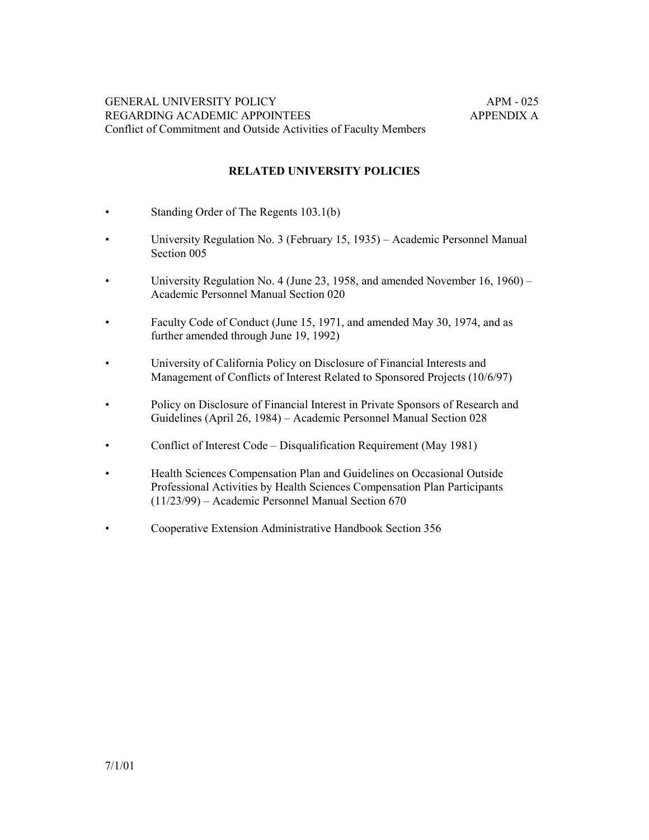## **RELATED UNIVERSITY POLICIES**

- Standing Order of The Regents 103.1(b)
- University Regulation No. 3 (February 15, 1935) Academic Personnel Manual Section 005
- University Regulation No. 4 (June 23, 1958, and amended November 16, 1960) Academic Personnel Manual Section 020
- Faculty Code of Conduct (June 15, 1971, and amended May 30, 1974, and as further amended through June 19, 1992)
- University of California Policy on Disclosure of Financial Interests and Management of Conflicts of Interest Related to Sponsored Projects (10/6/97)
- Policy on Disclosure of Financial Interest in Private Sponsors of Research and Guidelines (April 26, 1984) – Academic Personnel Manual Section 028
- Conflict of Interest Code Disqualification Requirement (May 1981)
- Health Sciences Compensation Plan and Guidelines on Occasional Outside Professional Activities by Health Sciences Compensation Plan Participants  $(11/23/99)$  – Academic Personnel Manual Section 670
- Cooperative Extension Administrative Handbook Section 356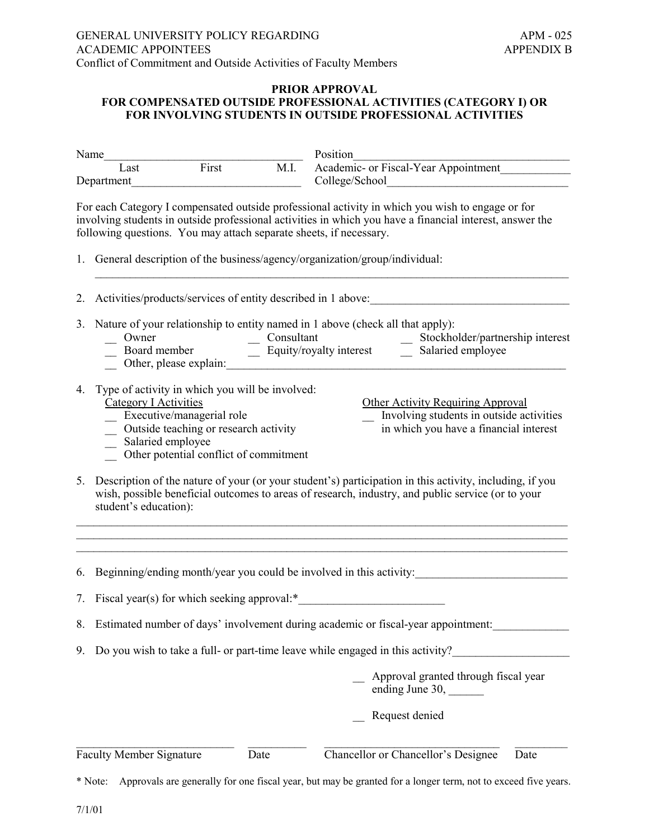### **PRIOR APPROVAL FOR COMPENSATED OUTSIDE PROFESSIONAL ACTIVITIES (CATEGORY I) OR FOR INVOLVING STUDENTS IN OUTSIDE PROFESSIONAL ACTIVITIES**

| Name               |                                                                                                                                                                                                                                                                                                                                                                                                 |                                                                                                                                                                   |                                                                                | Position                                                                                                                                                                                                     |  |  |  |  |  |  |  |
|--------------------|-------------------------------------------------------------------------------------------------------------------------------------------------------------------------------------------------------------------------------------------------------------------------------------------------------------------------------------------------------------------------------------------------|-------------------------------------------------------------------------------------------------------------------------------------------------------------------|--------------------------------------------------------------------------------|--------------------------------------------------------------------------------------------------------------------------------------------------------------------------------------------------------------|--|--|--|--|--|--|--|
| Last<br>Department |                                                                                                                                                                                                                                                                                                                                                                                                 | First                                                                                                                                                             | M.I.                                                                           | Academic- or Fiscal-Year Appointment                                                                                                                                                                         |  |  |  |  |  |  |  |
|                    | following questions. You may attach separate sheets, if necessary.                                                                                                                                                                                                                                                                                                                              |                                                                                                                                                                   |                                                                                | For each Category I compensated outside professional activity in which you wish to engage or for<br>involving students in outside professional activities in which you have a financial interest, answer the |  |  |  |  |  |  |  |
|                    | 1. General description of the business/agency/organization/group/individual:                                                                                                                                                                                                                                                                                                                    |                                                                                                                                                                   |                                                                                |                                                                                                                                                                                                              |  |  |  |  |  |  |  |
| 2.                 | Activities/products/services of entity described in 1 above:                                                                                                                                                                                                                                                                                                                                    |                                                                                                                                                                   |                                                                                |                                                                                                                                                                                                              |  |  |  |  |  |  |  |
|                    | 3. Nature of your relationship to entity named in 1 above (check all that apply):<br>Consultant<br>Stockholder/partnership interest<br>Uwner Board member Consultant Consultant Consultant Consultant Consultant Consultant Consultant Consultant Consultant Consultant Consultant Consultant Consultant Consultant Consultant Consultant Consultant Consultant Consu<br>Other, please explain: |                                                                                                                                                                   |                                                                                |                                                                                                                                                                                                              |  |  |  |  |  |  |  |
| 4.                 | <b>Category I Activities</b><br>Salaried employee                                                                                                                                                                                                                                                                                                                                               | Type of activity in which you will be involved:<br>Executive/managerial role<br>_ Outside teaching or research activity<br>Other potential conflict of commitment |                                                                                | <b>Other Activity Requiring Approval</b><br>Involving students in outside activities<br>in which you have a financial interest                                                                               |  |  |  |  |  |  |  |
| 5.                 | student's education):                                                                                                                                                                                                                                                                                                                                                                           |                                                                                                                                                                   |                                                                                | Description of the nature of your (or your student's) participation in this activity, including, if you<br>wish, possible beneficial outcomes to areas of research, industry, and public service (or to your |  |  |  |  |  |  |  |
| 6.                 |                                                                                                                                                                                                                                                                                                                                                                                                 |                                                                                                                                                                   |                                                                                |                                                                                                                                                                                                              |  |  |  |  |  |  |  |
| 7.                 | Beginning/ending month/year you could be involved in this activity:                                                                                                                                                                                                                                                                                                                             |                                                                                                                                                                   |                                                                                |                                                                                                                                                                                                              |  |  |  |  |  |  |  |
|                    | 8. Estimated number of days' involvement during academic or fiscal-year appointment:                                                                                                                                                                                                                                                                                                            |                                                                                                                                                                   |                                                                                |                                                                                                                                                                                                              |  |  |  |  |  |  |  |
| 9.                 |                                                                                                                                                                                                                                                                                                                                                                                                 |                                                                                                                                                                   | Do you wish to take a full- or part-time leave while engaged in this activity? |                                                                                                                                                                                                              |  |  |  |  |  |  |  |
|                    |                                                                                                                                                                                                                                                                                                                                                                                                 |                                                                                                                                                                   |                                                                                | Approval granted through fiscal year<br>ending June 30, _______                                                                                                                                              |  |  |  |  |  |  |  |
|                    |                                                                                                                                                                                                                                                                                                                                                                                                 |                                                                                                                                                                   |                                                                                | Request denied                                                                                                                                                                                               |  |  |  |  |  |  |  |
|                    | <b>Faculty Member Signature</b>                                                                                                                                                                                                                                                                                                                                                                 |                                                                                                                                                                   | Date                                                                           | Chancellor or Chancellor's Designee<br>Date                                                                                                                                                                  |  |  |  |  |  |  |  |

\* Note: Approvals are generally for one fiscal year, but may be granted for a longer term, not to exceed five years.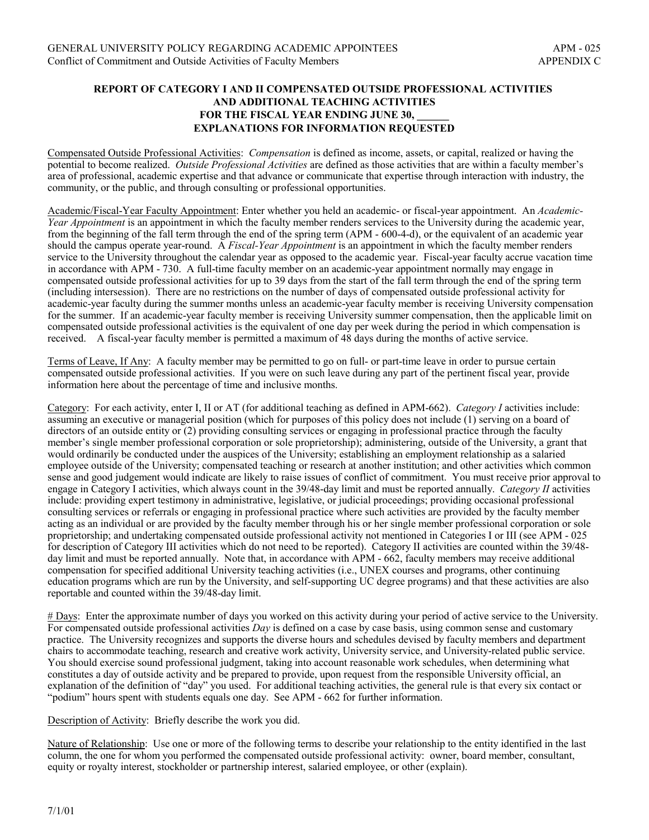### **REPORT OF CATEGORY I AND II COMPENSATED OUTSIDE PROFESSIONAL ACTIVITIES AND ADDITIONAL TEACHING ACTIVITIES** FOR THE FISCAL YEAR ENDING JUNE 30, **EXPLANATIONS FOR INFORMATION REQUESTED**

Compensated Outside Professional Activities: *Compensation* is defined as income, assets, or capital, realized or having the potential to become realized. *Outside Professional Activities* are defined as those activities that are within a faculty memberís area of professional, academic expertise and that advance or communicate that expertise through interaction with industry, the community, or the public, and through consulting or professional opportunities.

Academic/Fiscal-Year Faculty Appointment: Enter whether you held an academic- or fiscal-year appointment. An *Academic-Year Appointment* is an appointment in which the faculty member renders services to the University during the academic year, from the beginning of the fall term through the end of the spring term (APM - 600-4-d), or the equivalent of an academic year should the campus operate year-round. A *Fiscal-Year Appointment* is an appointment in which the faculty member renders service to the University throughout the calendar year as opposed to the academic year. Fiscal-year faculty accrue vacation time in accordance with APM - 730. A full-time faculty member on an academic-year appointment normally may engage in compensated outside professional activities for up to 39 days from the start of the fall term through the end of the spring term (including intersession). There are no restrictions on the number of days of compensated outside professional activity for academic-year faculty during the summer months unless an academic-year faculty member is receiving University compensation for the summer. If an academic-year faculty member is receiving University summer compensation, then the applicable limit on compensated outside professional activities is the equivalent of one day per week during the period in which compensation is received. A fiscal-year faculty member is permitted a maximum of 48 days during the months of active service.

Terms of Leave, If Any: A faculty member may be permitted to go on full- or part-time leave in order to pursue certain compensated outside professional activities. If you were on such leave during any part of the pertinent fiscal year, provide information here about the percentage of time and inclusive months.

Category: For each activity, enter I, II or AT (for additional teaching as defined in APM-662). *Category I* activities include: assuming an executive or managerial position (which for purposes of this policy does not include (1) serving on a board of directors of an outside entity or (2) providing consulting services or engaging in professional practice through the faculty member's single member professional corporation or sole proprietorship); administering, outside of the University, a grant that would ordinarily be conducted under the auspices of the University; establishing an employment relationship as a salaried employee outside of the University; compensated teaching or research at another institution; and other activities which common sense and good judgement would indicate are likely to raise issues of conflict of commitment. You must receive prior approval to engage in Category I activities, which always count in the 39/48-day limit and must be reported annually. *Category II* activities include: providing expert testimony in administrative, legislative, or judicial proceedings; providing occasional professional consulting services or referrals or engaging in professional practice where such activities are provided by the faculty member acting as an individual or are provided by the faculty member through his or her single member professional corporation or sole proprietorship; and undertaking compensated outside professional activity not mentioned in Categories I or III (see APM - 025 for description of Category III activities which do not need to be reported). Category II activities are counted within the 39/48 day limit and must be reported annually. Note that, in accordance with APM - 662, faculty members may receive additional compensation for specified additional University teaching activities (i.e., UNEX courses and programs, other continuing education programs which are run by the University, and self-supporting UC degree programs) and that these activities are also reportable and counted within the 39/48-day limit.

# Days: Enter the approximate number of days you worked on this activity during your period of active service to the University. For compensated outside professional activities *Day* is defined on a case by case basis, using common sense and customary practice. The University recognizes and supports the diverse hours and schedules devised by faculty members and department chairs to accommodate teaching, research and creative work activity, University service, and University-related public service. You should exercise sound professional judgment, taking into account reasonable work schedules, when determining what constitutes a day of outside activity and be prepared to provide, upon request from the responsible University official, an explanation of the definition of "day" you used. For additional teaching activities, the general rule is that every six contact or ìpodiumî hours spent with students equals one day. See APM - 662 for further information.

Description of Activity: Briefly describe the work you did.

Nature of Relationship: Use one or more of the following terms to describe your relationship to the entity identified in the last column, the one for whom you performed the compensated outside professional activity: owner, board member, consultant, equity or royalty interest, stockholder or partnership interest, salaried employee, or other (explain).